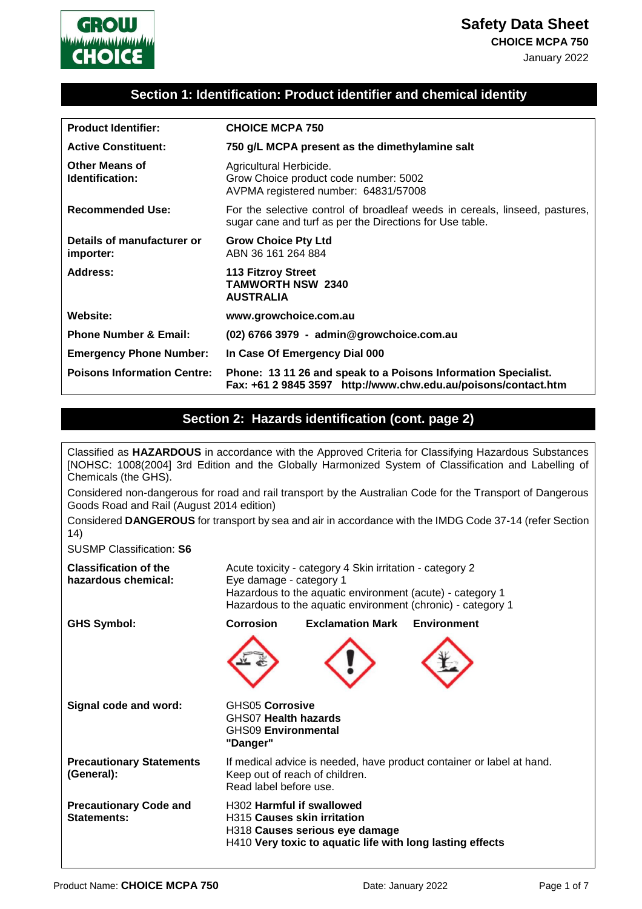

#### **Section 1: Identification: Product identifier and chemical identity**

| <b>Product Identifier:</b>               | <b>CHOICE MCPA 750</b>                                                                                                                  |
|------------------------------------------|-----------------------------------------------------------------------------------------------------------------------------------------|
| <b>Active Constituent:</b>               | 750 g/L MCPA present as the dimethylamine salt                                                                                          |
| <b>Other Means of</b><br>Identification: | Agricultural Herbicide.<br>Grow Choice product code number: 5002<br>AVPMA registered number: 64831/57008                                |
| <b>Recommended Use:</b>                  | For the selective control of broadleaf weeds in cereals, linseed, pastures,<br>sugar cane and turf as per the Directions for Use table. |
| Details of manufacturer or<br>importer:  | <b>Grow Choice Pty Ltd</b><br>ABN 36 161 264 884                                                                                        |
| Address:                                 | <b>113 Fitzroy Street</b><br><b>TAMWORTH NSW 2340</b><br><b>AUSTRALIA</b>                                                               |
| Website:                                 | www.growchoice.com.au                                                                                                                   |
| <b>Phone Number &amp; Email:</b>         | (02) 6766 3979 - admin@growchoice.com.au                                                                                                |
| <b>Emergency Phone Number:</b>           | In Case Of Emergency Dial 000                                                                                                           |
| <b>Poisons Information Centre:</b>       | Phone: 13 11 26 and speak to a Poisons Information Specialist.<br>Fax: +61 2 9845 3597 http://www.chw.edu.au/poisons/contact.htm        |

#### **Section 2: Hazards identification (cont. page 2)**

Classified as **HAZARDOUS** in accordance with the Approved Criteria for Classifying Hazardous Substances [NOHSC: 1008(2004] 3rd Edition and the Globally Harmonized System of Classification and Labelling of Chemicals (the GHS). Considered non-dangerous for road and rail transport by the Australian Code for the Transport of Dangerous Goods Road and Rail (August 2014 edition) Considered **DANGEROUS** for transport by sea and air in accordance with the IMDG Code 37-14 (refer Section 14) SUSMP Classification: **S6 Classification of the hazardous chemical:** Acute toxicity - category 4 Skin irritation - category 2 Eye damage - category 1 Hazardous to the aquatic environment (acute) - category 1 Hazardous to the aquatic environment (chronic) - category 1 **GHS Symbol: Corrosion Exclamation Mark Environment Signal code and word:** GHS05 **Corrosive**  GHS07 **Health hazards**  GHS09 **Environmental "Danger" Precautionary Statements (General):** If medical advice is needed, have product container or label at hand. Keep out of reach of children. Read label before use. **Precautionary Code and Statements:** H302 **Harmful if swallowed**  H315 **Causes skin irritation**  H318 **Causes serious eye damage**  H410 **Very toxic to aquatic life with long lasting effects**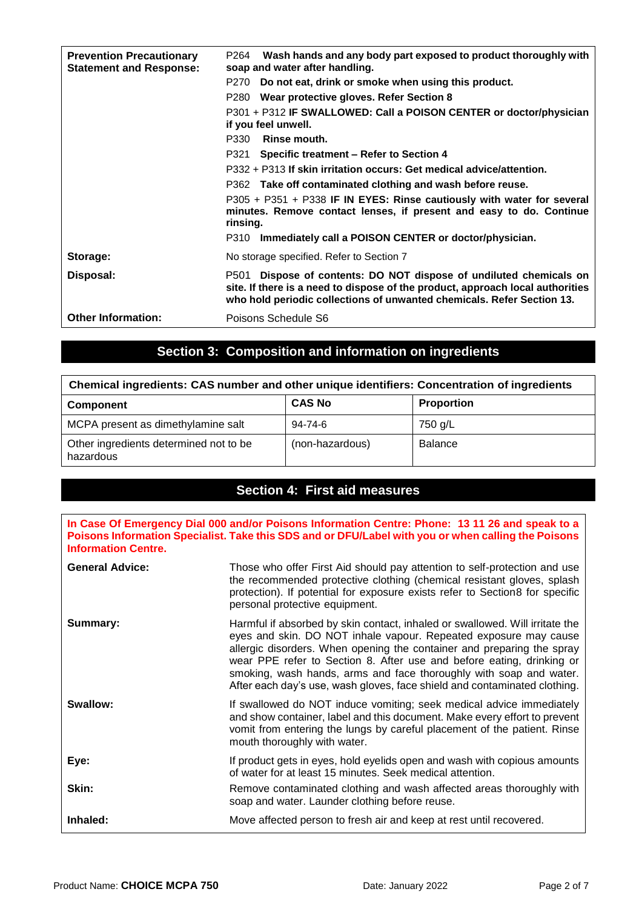| <b>Prevention Precautionary</b><br><b>Statement and Response:</b> | P264 Wash hands and any body part exposed to product thoroughly with<br>soap and water after handling.                                                                                                                            |
|-------------------------------------------------------------------|-----------------------------------------------------------------------------------------------------------------------------------------------------------------------------------------------------------------------------------|
|                                                                   | P270 Do not eat, drink or smoke when using this product.                                                                                                                                                                          |
|                                                                   | P280 Wear protective gloves. Refer Section 8                                                                                                                                                                                      |
|                                                                   | P301 + P312 IF SWALLOWED: Call a POISON CENTER or doctor/physician<br>if you feel unwell.                                                                                                                                         |
|                                                                   | Rinse mouth.<br>P330                                                                                                                                                                                                              |
|                                                                   | P321 Specific treatment - Refer to Section 4                                                                                                                                                                                      |
|                                                                   | P332 + P313 If skin irritation occurs: Get medical advice/attention.                                                                                                                                                              |
|                                                                   | P362 Take off contaminated clothing and wash before reuse.                                                                                                                                                                        |
|                                                                   | P305 + P351 + P338 IF IN EYES: Rinse cautiously with water for several<br>minutes. Remove contact lenses, if present and easy to do. Continue<br>rinsing.                                                                         |
|                                                                   | P310 Immediately call a POISON CENTER or doctor/physician.                                                                                                                                                                        |
| Storage:                                                          | No storage specified. Refer to Section 7                                                                                                                                                                                          |
| Disposal:                                                         | Dispose of contents: DO NOT dispose of undiluted chemicals on<br>P501<br>site. If there is a need to dispose of the product, approach local authorities<br>who hold periodic collections of unwanted chemicals. Refer Section 13. |
| <b>Other Information:</b>                                         | Poisons Schedule S6                                                                                                                                                                                                               |

# **Section 3: Composition and information on ingredients**

| Chemical ingredients: CAS number and other unique identifiers: Concentration of ingredients |                 |                   |
|---------------------------------------------------------------------------------------------|-----------------|-------------------|
| <b>Component</b>                                                                            | <b>CAS No</b>   | <b>Proportion</b> |
| MCPA present as dimethylamine salt                                                          | 94-74-6         | 750 g/L           |
| Other ingredients determined not to be<br>hazardous                                         | (non-hazardous) | <b>Balance</b>    |

# **Section 4: First aid measures**

**In Case Of Emergency Dial 000 and/or Poisons Information Centre: Phone: 13 11 26 and speak to a Poisons Information Specialist. Take this SDS and or DFU/Label with you or when calling the Poisons Information Centre.**

| <b>General Advice:</b> | Those who offer First Aid should pay attention to self-protection and use<br>the recommended protective clothing (chemical resistant gloves, splash<br>protection). If potential for exposure exists refer to Section8 for specific<br>personal protective equipment.                                                                                                                                                                                  |
|------------------------|--------------------------------------------------------------------------------------------------------------------------------------------------------------------------------------------------------------------------------------------------------------------------------------------------------------------------------------------------------------------------------------------------------------------------------------------------------|
| Summary:               | Harmful if absorbed by skin contact, inhaled or swallowed. Will irritate the<br>eyes and skin. DO NOT inhale vapour. Repeated exposure may cause<br>allergic disorders. When opening the container and preparing the spray<br>wear PPE refer to Section 8. After use and before eating, drinking or<br>smoking, wash hands, arms and face thoroughly with soap and water.<br>After each day's use, wash gloves, face shield and contaminated clothing. |
| Swallow:               | If swallowed do NOT induce vomiting; seek medical advice immediately<br>and show container, label and this document. Make every effort to prevent<br>vomit from entering the lungs by careful placement of the patient. Rinse<br>mouth thoroughly with water.                                                                                                                                                                                          |
| Eye:                   | If product gets in eyes, hold eyelids open and wash with copious amounts<br>of water for at least 15 minutes. Seek medical attention.                                                                                                                                                                                                                                                                                                                  |
| Skin:                  | Remove contaminated clothing and wash affected areas thoroughly with<br>soap and water. Launder clothing before reuse.                                                                                                                                                                                                                                                                                                                                 |
| Inhaled:               | Move affected person to fresh air and keep at rest until recovered.                                                                                                                                                                                                                                                                                                                                                                                    |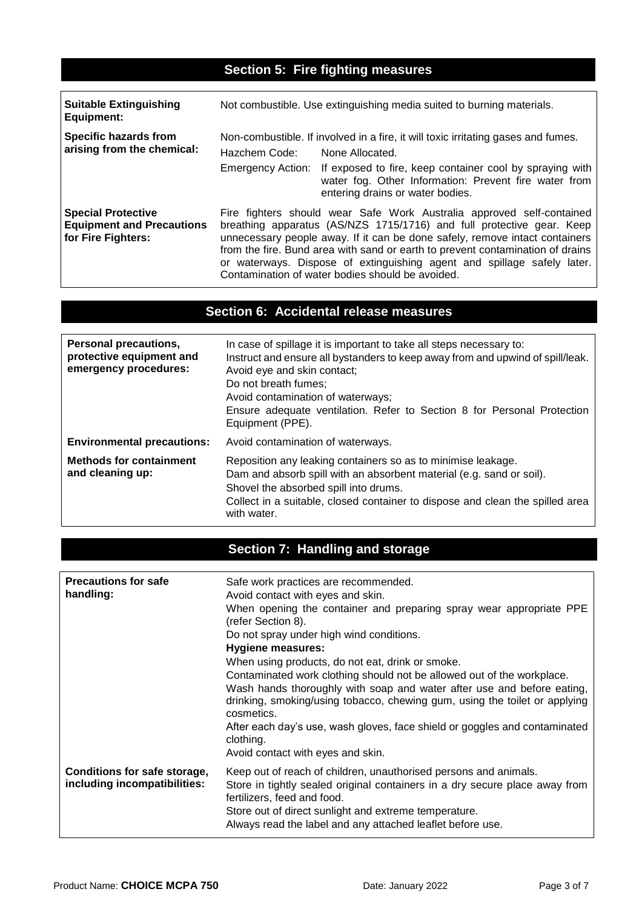# **Section 5: Fire fighting measures**

| <b>Suitable Extinguishing</b><br>Equipment:                                         | Not combustible. Use extinguishing media suited to burning materials.                                                                                                                                                                                                                                                                                                                                                                          |                                                                                                                                                                                                                                                                                 |
|-------------------------------------------------------------------------------------|------------------------------------------------------------------------------------------------------------------------------------------------------------------------------------------------------------------------------------------------------------------------------------------------------------------------------------------------------------------------------------------------------------------------------------------------|---------------------------------------------------------------------------------------------------------------------------------------------------------------------------------------------------------------------------------------------------------------------------------|
| Specific hazards from<br>arising from the chemical:                                 | Hazchem Code:                                                                                                                                                                                                                                                                                                                                                                                                                                  | Non-combustible. If involved in a fire, it will toxic irritating gases and fumes.<br>None Allocated.<br>Emergency Action: If exposed to fire, keep container cool by spraying with<br>water fog. Other Information: Prevent fire water from<br>entering drains or water bodies. |
| <b>Special Protective</b><br><b>Equipment and Precautions</b><br>for Fire Fighters: | Fire fighters should wear Safe Work Australia approved self-contained<br>breathing apparatus (AS/NZS 1715/1716) and full protective gear. Keep<br>unnecessary people away. If it can be done safely, remove intact containers<br>from the fire. Bund area with sand or earth to prevent contamination of drains<br>or waterways. Dispose of extinguishing agent and spillage safely later.<br>Contamination of water bodies should be avoided. |                                                                                                                                                                                                                                                                                 |

### **Section 6: Accidental release measures**

| Personal precautions,<br>protective equipment and<br>emergency procedures: | In case of spillage it is important to take all steps necessary to:<br>Instruct and ensure all bystanders to keep away from and upwind of spill/leak.<br>Avoid eye and skin contact;<br>Do not breath fumes;<br>Avoid contamination of waterways;<br>Ensure adequate ventilation. Refer to Section 8 for Personal Protection<br>Equipment (PPE). |
|----------------------------------------------------------------------------|--------------------------------------------------------------------------------------------------------------------------------------------------------------------------------------------------------------------------------------------------------------------------------------------------------------------------------------------------|
| <b>Environmental precautions:</b>                                          | Avoid contamination of waterways.                                                                                                                                                                                                                                                                                                                |
| <b>Methods for containment</b><br>and cleaning up:                         | Reposition any leaking containers so as to minimise leakage.<br>Dam and absorb spill with an absorbent material (e.g. sand or soil).<br>Shovel the absorbed spill into drums.<br>Collect in a suitable, closed container to dispose and clean the spilled area<br>with water.                                                                    |

# **Section 7: Handling and storage**

| <b>Precautions for safe</b><br>handling:                     | Safe work practices are recommended.<br>Avoid contact with eyes and skin.<br>When opening the container and preparing spray wear appropriate PPE<br>(refer Section 8).<br>Do not spray under high wind conditions.<br><b>Hygiene measures:</b><br>When using products, do not eat, drink or smoke.<br>Contaminated work clothing should not be allowed out of the workplace.<br>Wash hands thoroughly with soap and water after use and before eating,<br>drinking, smoking/using tobacco, chewing gum, using the toilet or applying<br>cosmetics.<br>After each day's use, wash gloves, face shield or goggles and contaminated<br>clothing. |
|--------------------------------------------------------------|-----------------------------------------------------------------------------------------------------------------------------------------------------------------------------------------------------------------------------------------------------------------------------------------------------------------------------------------------------------------------------------------------------------------------------------------------------------------------------------------------------------------------------------------------------------------------------------------------------------------------------------------------|
|                                                              | Avoid contact with eyes and skin.                                                                                                                                                                                                                                                                                                                                                                                                                                                                                                                                                                                                             |
| Conditions for safe storage,<br>including incompatibilities: | Keep out of reach of children, unauthorised persons and animals.<br>Store in tightly sealed original containers in a dry secure place away from<br>fertilizers, feed and food.<br>Store out of direct sunlight and extreme temperature.<br>Always read the label and any attached leaflet before use.                                                                                                                                                                                                                                                                                                                                         |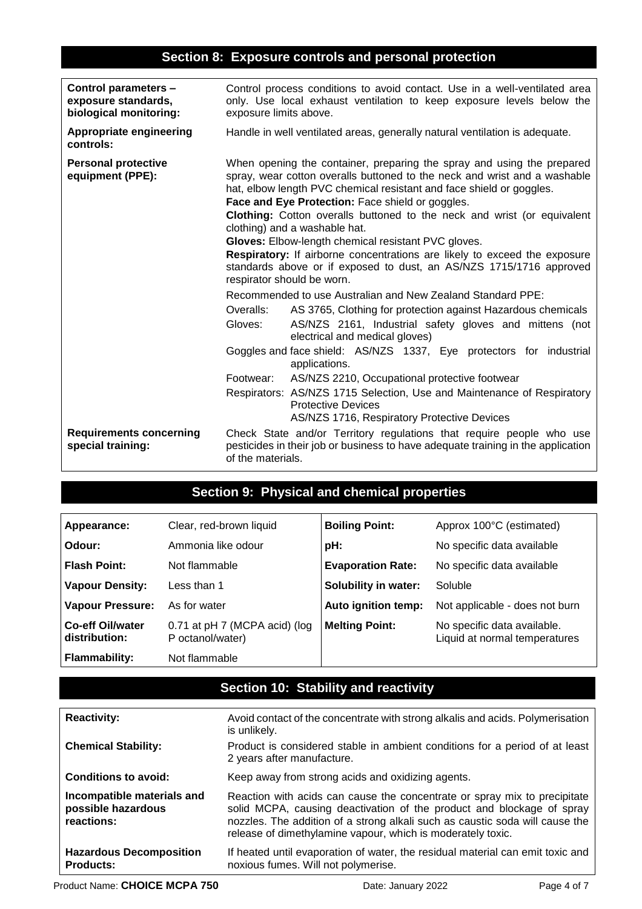# **Section 8: Exposure controls and personal protection**

| Control parameters -<br>exposure standards,<br>biological monitoring: | Control process conditions to avoid contact. Use in a well-ventilated area<br>only. Use local exhaust ventilation to keep exposure levels below the<br>exposure limits above.                                                                                                                                                                                                                                                                                                                                                                                                                                                                                                                                                                                                                                                                                                                                                                                                                                                                                                                                                                                                                       |
|-----------------------------------------------------------------------|-----------------------------------------------------------------------------------------------------------------------------------------------------------------------------------------------------------------------------------------------------------------------------------------------------------------------------------------------------------------------------------------------------------------------------------------------------------------------------------------------------------------------------------------------------------------------------------------------------------------------------------------------------------------------------------------------------------------------------------------------------------------------------------------------------------------------------------------------------------------------------------------------------------------------------------------------------------------------------------------------------------------------------------------------------------------------------------------------------------------------------------------------------------------------------------------------------|
| <b>Appropriate engineering</b><br>controls:                           | Handle in well ventilated areas, generally natural ventilation is adequate.                                                                                                                                                                                                                                                                                                                                                                                                                                                                                                                                                                                                                                                                                                                                                                                                                                                                                                                                                                                                                                                                                                                         |
| <b>Personal protective</b><br>equipment (PPE):                        | When opening the container, preparing the spray and using the prepared<br>spray, wear cotton overalls buttoned to the neck and wrist and a washable<br>hat, elbow length PVC chemical resistant and face shield or goggles.<br>Face and Eye Protection: Face shield or goggles.<br>Clothing: Cotton overalls buttoned to the neck and wrist (or equivalent<br>clothing) and a washable hat.<br>Gloves: Elbow-length chemical resistant PVC gloves.<br>Respiratory: If airborne concentrations are likely to exceed the exposure<br>standards above or if exposed to dust, an AS/NZS 1715/1716 approved<br>respirator should be worn.<br>Recommended to use Australian and New Zealand Standard PPE:<br>Overalls:<br>AS 3765, Clothing for protection against Hazardous chemicals<br>AS/NZS 2161, Industrial safety gloves and mittens (not<br>Gloves:<br>electrical and medical gloves)<br>Goggles and face shield: AS/NZS 1337, Eye protectors for industrial<br>applications.<br>AS/NZS 2210, Occupational protective footwear<br>Footwear:<br>Respirators: AS/NZS 1715 Selection, Use and Maintenance of Respiratory<br><b>Protective Devices</b><br>AS/NZS 1716, Respiratory Protective Devices |
| <b>Requirements concerning</b><br>special training:                   | Check State and/or Territory regulations that require people who use<br>pesticides in their job or business to have adequate training in the application<br>of the materials.                                                                                                                                                                                                                                                                                                                                                                                                                                                                                                                                                                                                                                                                                                                                                                                                                                                                                                                                                                                                                       |

# **Section 9: Physical and chemical properties**

| <b>Appearance:</b>                | Clear, red-brown liquid                           | <b>Boiling Point:</b>    | Approx 100°C (estimated)                                     |
|-----------------------------------|---------------------------------------------------|--------------------------|--------------------------------------------------------------|
| Odour:                            | Ammonia like odour                                | pH:                      | No specific data available                                   |
| Flash Point:                      | Not flammable                                     | <b>Evaporation Rate:</b> | No specific data available                                   |
| Vapour Density:                   | Less than 1                                       | Solubility in water:     | Soluble                                                      |
| Vapour Pressure:                  | As for water                                      | Auto ignition temp:      | Not applicable - does not burn                               |
| Co-eff Oil/water<br>distribution: | 0.71 at pH 7 (MCPA acid) (log<br>P octanol/water) | <b>Melting Point:</b>    | No specific data available.<br>Liquid at normal temperatures |
| Flammability:                     | Not flammable                                     |                          |                                                              |

# **Section 10: Stability and reactivity**

| <b>Reactivity:</b>                                             | Avoid contact of the concentrate with strong alkalis and acids. Polymerisation<br>is unlikely.                                                                                                                                                                                                    |
|----------------------------------------------------------------|---------------------------------------------------------------------------------------------------------------------------------------------------------------------------------------------------------------------------------------------------------------------------------------------------|
| <b>Chemical Stability:</b>                                     | Product is considered stable in ambient conditions for a period of at least<br>2 years after manufacture.                                                                                                                                                                                         |
| <b>Conditions to avoid:</b>                                    | Keep away from strong acids and oxidizing agents.                                                                                                                                                                                                                                                 |
| Incompatible materials and<br>possible hazardous<br>reactions: | Reaction with acids can cause the concentrate or spray mix to precipitate<br>solid MCPA, causing deactivation of the product and blockage of spray<br>nozzles. The addition of a strong alkali such as caustic soda will cause the<br>release of dimethylamine vapour, which is moderately toxic. |
| <b>Hazardous Decomposition</b><br><b>Products:</b>             | If heated until evaporation of water, the residual material can emit toxic and<br>noxious fumes. Will not polymerise.                                                                                                                                                                             |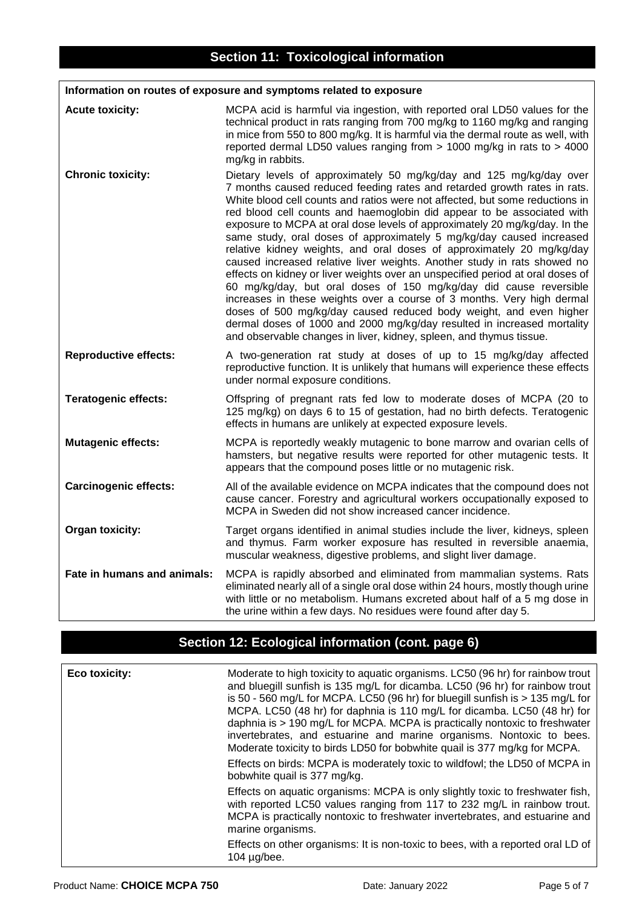#### **Information on routes of exposure and symptoms related to exposure**

| <b>Acute toxicity:</b>       | MCPA acid is harmful via ingestion, with reported oral LD50 values for the<br>technical product in rats ranging from 700 mg/kg to 1160 mg/kg and ranging<br>in mice from 550 to 800 mg/kg. It is harmful via the dermal route as well, with<br>reported dermal LD50 values ranging from $> 1000$ mg/kg in rats to $> 4000$<br>mg/kg in rabbits.                                                                                                                                                                                                                                                                                                                                                                                                                                                                                                                                                                                                                                                                                                                                |
|------------------------------|--------------------------------------------------------------------------------------------------------------------------------------------------------------------------------------------------------------------------------------------------------------------------------------------------------------------------------------------------------------------------------------------------------------------------------------------------------------------------------------------------------------------------------------------------------------------------------------------------------------------------------------------------------------------------------------------------------------------------------------------------------------------------------------------------------------------------------------------------------------------------------------------------------------------------------------------------------------------------------------------------------------------------------------------------------------------------------|
| <b>Chronic toxicity:</b>     | Dietary levels of approximately 50 mg/kg/day and 125 mg/kg/day over<br>7 months caused reduced feeding rates and retarded growth rates in rats.<br>White blood cell counts and ratios were not affected, but some reductions in<br>red blood cell counts and haemoglobin did appear to be associated with<br>exposure to MCPA at oral dose levels of approximately 20 mg/kg/day. In the<br>same study, oral doses of approximately 5 mg/kg/day caused increased<br>relative kidney weights, and oral doses of approximately 20 mg/kg/day<br>caused increased relative liver weights. Another study in rats showed no<br>effects on kidney or liver weights over an unspecified period at oral doses of<br>60 mg/kg/day, but oral doses of 150 mg/kg/day did cause reversible<br>increases in these weights over a course of 3 months. Very high dermal<br>doses of 500 mg/kg/day caused reduced body weight, and even higher<br>dermal doses of 1000 and 2000 mg/kg/day resulted in increased mortality<br>and observable changes in liver, kidney, spleen, and thymus tissue. |
| <b>Reproductive effects:</b> | A two-generation rat study at doses of up to 15 mg/kg/day affected<br>reproductive function. It is unlikely that humans will experience these effects<br>under normal exposure conditions.                                                                                                                                                                                                                                                                                                                                                                                                                                                                                                                                                                                                                                                                                                                                                                                                                                                                                     |
| <b>Teratogenic effects:</b>  | Offspring of pregnant rats fed low to moderate doses of MCPA (20 to<br>125 mg/kg) on days 6 to 15 of gestation, had no birth defects. Teratogenic<br>effects in humans are unlikely at expected exposure levels.                                                                                                                                                                                                                                                                                                                                                                                                                                                                                                                                                                                                                                                                                                                                                                                                                                                               |
| <b>Mutagenic effects:</b>    | MCPA is reportedly weakly mutagenic to bone marrow and ovarian cells of<br>hamsters, but negative results were reported for other mutagenic tests. It<br>appears that the compound poses little or no mutagenic risk.                                                                                                                                                                                                                                                                                                                                                                                                                                                                                                                                                                                                                                                                                                                                                                                                                                                          |
| <b>Carcinogenic effects:</b> | All of the available evidence on MCPA indicates that the compound does not<br>cause cancer. Forestry and agricultural workers occupationally exposed to<br>MCPA in Sweden did not show increased cancer incidence.                                                                                                                                                                                                                                                                                                                                                                                                                                                                                                                                                                                                                                                                                                                                                                                                                                                             |
| Organ toxicity:              | Target organs identified in animal studies include the liver, kidneys, spleen<br>and thymus. Farm worker exposure has resulted in reversible anaemia,<br>muscular weakness, digestive problems, and slight liver damage.                                                                                                                                                                                                                                                                                                                                                                                                                                                                                                                                                                                                                                                                                                                                                                                                                                                       |
| Fate in humans and animals:  | MCPA is rapidly absorbed and eliminated from mammalian systems. Rats<br>eliminated nearly all of a single oral dose within 24 hours, mostly though urine<br>with little or no metabolism. Humans excreted about half of a 5 mg dose in<br>the urine within a few days. No residues were found after day 5.                                                                                                                                                                                                                                                                                                                                                                                                                                                                                                                                                                                                                                                                                                                                                                     |

### **Section 12: Ecological information (cont. page 6)**

| Eco toxicity: | Moderate to high toxicity to aquatic organisms. LC50 (96 hr) for rainbow trout<br>and bluegill sunfish is 135 mg/L for dicamba. LC50 (96 hr) for rainbow trout<br>is 50 - 560 mg/L for MCPA. LC50 (96 hr) for bluegill sunfish is $>$ 135 mg/L for<br>MCPA. LC50 (48 hr) for daphnia is 110 mg/L for dicamba. LC50 (48 hr) for<br>daphnia is > 190 mg/L for MCPA. MCPA is practically nontoxic to freshwater<br>invertebrates, and estuarine and marine organisms. Nontoxic to bees.<br>Moderate toxicity to birds LD50 for bobwhite quail is 377 mg/kg for MCPA. |
|---------------|-------------------------------------------------------------------------------------------------------------------------------------------------------------------------------------------------------------------------------------------------------------------------------------------------------------------------------------------------------------------------------------------------------------------------------------------------------------------------------------------------------------------------------------------------------------------|
|               | Effects on birds: MCPA is moderately toxic to wildfowl; the LD50 of MCPA in<br>bobwhite quail is 377 mg/kg.                                                                                                                                                                                                                                                                                                                                                                                                                                                       |
|               | Effects on aquatic organisms: MCPA is only slightly toxic to freshwater fish,<br>with reported LC50 values ranging from 117 to 232 mg/L in rainbow trout.<br>MCPA is practically nontoxic to freshwater invertebrates, and estuarine and<br>marine organisms.                                                                                                                                                                                                                                                                                                     |
|               | Effects on other organisms: It is non-toxic to bees, with a reported oral LD of<br>104 $\mu$ g/bee.                                                                                                                                                                                                                                                                                                                                                                                                                                                               |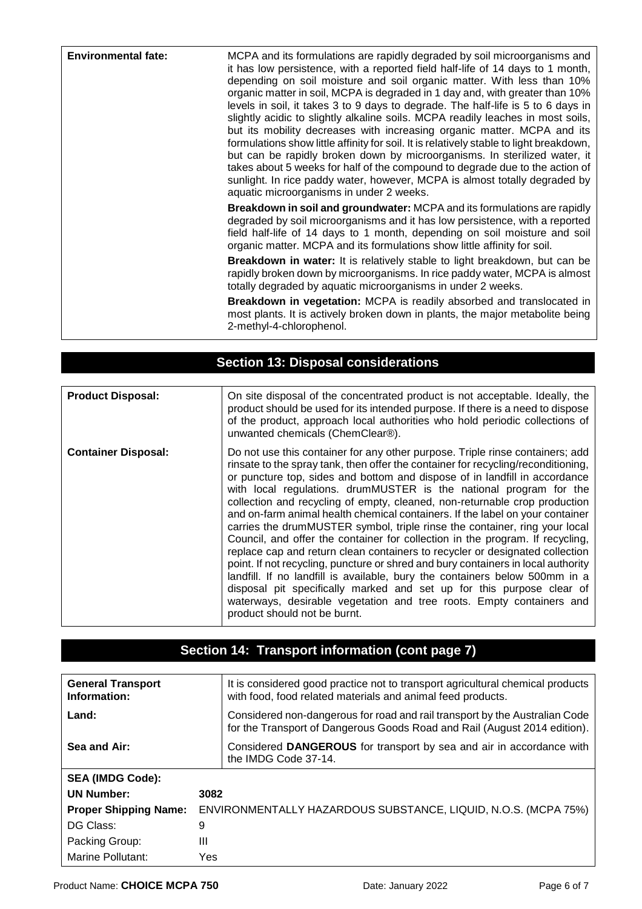| <b>Environmental fate:</b> | MCPA and its formulations are rapidly degraded by soil microorganisms and<br>it has low persistence, with a reported field half-life of 14 days to 1 month,<br>depending on soil moisture and soil organic matter. With less than 10%<br>organic matter in soil, MCPA is degraded in 1 day and, with greater than 10%<br>levels in soil, it takes 3 to 9 days to degrade. The half-life is 5 to 6 days in<br>slightly acidic to slightly alkaline soils. MCPA readily leaches in most soils,<br>but its mobility decreases with increasing organic matter. MCPA and its<br>formulations show little affinity for soil. It is relatively stable to light breakdown,<br>but can be rapidly broken down by microorganisms. In sterilized water, it<br>takes about 5 weeks for half of the compound to degrade due to the action of<br>sunlight. In rice paddy water, however, MCPA is almost totally degraded by<br>aquatic microorganisms in under 2 weeks. |
|----------------------------|-----------------------------------------------------------------------------------------------------------------------------------------------------------------------------------------------------------------------------------------------------------------------------------------------------------------------------------------------------------------------------------------------------------------------------------------------------------------------------------------------------------------------------------------------------------------------------------------------------------------------------------------------------------------------------------------------------------------------------------------------------------------------------------------------------------------------------------------------------------------------------------------------------------------------------------------------------------|
|                            | <b>Breakdown in soil and groundwater:</b> MCPA and its formulations are rapidly<br>degraded by soil microorganisms and it has low persistence, with a reported<br>field half-life of 14 days to 1 month, depending on soil moisture and soil<br>organic matter. MCPA and its formulations show little affinity for soil.                                                                                                                                                                                                                                                                                                                                                                                                                                                                                                                                                                                                                                  |
|                            | <b>Breakdown in water:</b> It is relatively stable to light breakdown, but can be<br>rapidly broken down by microorganisms. In rice paddy water, MCPA is almost<br>totally degraded by aquatic microorganisms in under 2 weeks.                                                                                                                                                                                                                                                                                                                                                                                                                                                                                                                                                                                                                                                                                                                           |
|                            | <b>Breakdown in vegetation:</b> MCPA is readily absorbed and translocated in<br>most plants. It is actively broken down in plants, the major metabolite being<br>2-methyl-4-chlorophenol.                                                                                                                                                                                                                                                                                                                                                                                                                                                                                                                                                                                                                                                                                                                                                                 |

| <b>Section 13: Disposal considerations</b> |                                                                                                                                                                                                                                                                                                                                                                                                                                                                                                                                                                                                                                                                                                                                                                                                                                                                                                                                                                                                                                                                                           |  |
|--------------------------------------------|-------------------------------------------------------------------------------------------------------------------------------------------------------------------------------------------------------------------------------------------------------------------------------------------------------------------------------------------------------------------------------------------------------------------------------------------------------------------------------------------------------------------------------------------------------------------------------------------------------------------------------------------------------------------------------------------------------------------------------------------------------------------------------------------------------------------------------------------------------------------------------------------------------------------------------------------------------------------------------------------------------------------------------------------------------------------------------------------|--|
|                                            |                                                                                                                                                                                                                                                                                                                                                                                                                                                                                                                                                                                                                                                                                                                                                                                                                                                                                                                                                                                                                                                                                           |  |
| <b>Product Disposal:</b>                   | On site disposal of the concentrated product is not acceptable. Ideally, the<br>product should be used for its intended purpose. If there is a need to dispose<br>of the product, approach local authorities who hold periodic collections of<br>unwanted chemicals (ChemClear®).                                                                                                                                                                                                                                                                                                                                                                                                                                                                                                                                                                                                                                                                                                                                                                                                         |  |
| <b>Container Disposal:</b>                 | Do not use this container for any other purpose. Triple rinse containers; add<br>rinsate to the spray tank, then offer the container for recycling/reconditioning,<br>or puncture top, sides and bottom and dispose of in landfill in accordance<br>with local regulations. drumMUSTER is the national program for the<br>collection and recycling of empty, cleaned, non-returnable crop production<br>and on-farm animal health chemical containers. If the label on your container<br>carries the drumMUSTER symbol, triple rinse the container, ring your local<br>Council, and offer the container for collection in the program. If recycling,<br>replace cap and return clean containers to recycler or designated collection<br>point. If not recycling, puncture or shred and bury containers in local authority<br>landfill. If no landfill is available, bury the containers below 500mm in a<br>disposal pit specifically marked and set up for this purpose clear of<br>waterways, desirable vegetation and tree roots. Empty containers and<br>product should not be burnt. |  |

# **Section 14: Transport information (cont page 7)**

| <b>General Transport</b><br>Information: |      | It is considered good practice not to transport agricultural chemical products<br>with food, food related materials and animal feed products.            |
|------------------------------------------|------|----------------------------------------------------------------------------------------------------------------------------------------------------------|
| Land:                                    |      | Considered non-dangerous for road and rail transport by the Australian Code<br>for the Transport of Dangerous Goods Road and Rail (August 2014 edition). |
| Sea and Air:                             |      | Considered DANGEROUS for transport by sea and air in accordance with<br>the IMDG Code 37-14.                                                             |
| <b>SEA (IMDG Code):</b>                  |      |                                                                                                                                                          |
| <b>UN Number:</b>                        | 3082 |                                                                                                                                                          |
| <b>Proper Shipping Name:</b>             |      | ENVIRONMENTALLY HAZARDOUS SUBSTANCE, LIQUID, N.O.S. (MCPA 75%)                                                                                           |
| DG Class:                                | 9    |                                                                                                                                                          |
| Packing Group:                           | Ш    |                                                                                                                                                          |
| Marine Pollutant:                        | Yes  |                                                                                                                                                          |